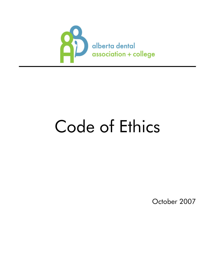

# Code of Ethics

October 2007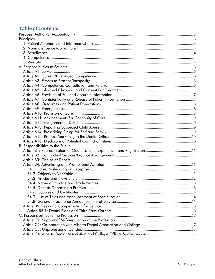## **Table of Contents**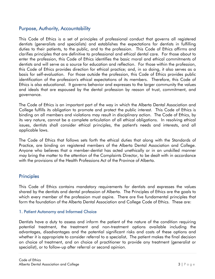## <span id="page-2-0"></span>Purpose, Authority, Accountability

This Code of Ethics is a set of principles of professional conduct that governs all registered dentists (generalists and specialists) and establishes the expectations for dentists in fulfilling duties to their patients, to the public, and to the profession. This Code of Ethics affirms and clarifies principles that are definitive to professional and ethical dental care. For those about to enter the profession, this Code of Ethics identifies the basic moral and ethical commitments of dentists and will serve as a source for education and reflection. For those within the profession, this Code of Ethics provides direction for ethical practice; and, in so doing, it also serves as a basis for self-evaluation. For those outside the profession, this Code of Ethics provides public identification of the profession's ethical expectations of its members. Therefore, this Code of Ethics is also educational. It governs behavior and expresses to the larger community the values and ideals that are espoused by the dental profession by reason of trust, commitment, and governance.

The Code of Ethics is an important part of the way in which the Alberta Dental Association and College fulfills its obligation to promote and protect the public interest. This Code of Ethics is binding on all members and violations may result in disciplinary action. The Code of Ethics, by its very nature, cannot be a complete articulation of all ethical obligations. In resolving ethical issues, dentists shall consider ethical principles, the patient's needs and interests, and all applicable laws.

The Code of Ethics that follows sets forth the ethical duties that along with the Standards of Practice, are binding on registered members of the Alberta Dental Association and College. Anyone who believes that a member-dentist has acted unethically or in an unskilled manner may bring the matter to the attention of the Complaints Director, to be dealt with in accordance with the provisions of the Health Professions Act of the Province of Alberta.

## <span id="page-2-1"></span>**Principles**

This Code of Ethics contains mandatory requirements for dentists and expresses the values shared by the dentists and dental profession of Alberta. The Principles of Ethics are the goals to which every member of the profession must aspire. There are five fundamental principles that form the foundation of the Alberta Dental Association and College Code of Ethics. These are:

#### <span id="page-2-2"></span>1. Patient Autonomy and Informed Choice

Dentists have a duty to assess and inform the patient of the nature of the condition requiring potential treatment, the treatment and non-treatment options available including the advantages, disadvantages and the potential significant risks and costs of these options and whether it is appropriate to consider referral to a specialist. The patient makes the final decision on choice of treatment, and on choice of practitioner to provide any treatment (generalist or specialist), or to follow-up after referral or second opinion.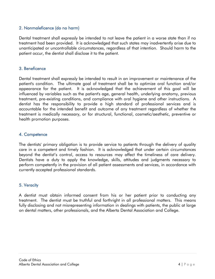#### <span id="page-3-0"></span>2. Nonmaleficence (do no harm)

Dental treatment shall expressly be intended to not leave the patient in a worse state than if no treatment had been provided. It is acknowledged that such states may inadvertently arise due to unanticipated or uncontrollable circumstances, regardless of that intention. Should harm to the patient occur, the dentist shall disclose it to the patient.

#### <span id="page-3-1"></span>3. Beneficence

Dental treatment shall expressly be intended to result in an improvement or maintenance of the patient's condition. The ultimate goal of treatment shall be to optimize oral function and/or appearance for the patient. It is acknowledged that the achievement of this goal will be influenced by variables such as the patient's age, general health, underlying anatomy, previous treatment, pre-existing conditions, and compliance with oral hygiene and other instructions. A dentist has the responsibility to provide a high standard of professional services and is accountable for the intended benefit and outcome of any treatment regardless of whether the treatment is medically necessary, or for structural, functional, cosmetic/aesthetic, preventive or health promotion purposes.

#### <span id="page-3-2"></span>4. Competence

The dentists' primary obligation is to provide service to patients through the delivery of quality care in a competent and timely fashion. It is acknowledged that under certain circumstances beyond the dentist's control, access to resources may affect the timeliness of care delivery. Dentists have a duty to apply the knowledge, skills, attitudes and judgments necessary to perform competently in the provision of all patient assessments and services, in accordance with currently accepted professional standards.

#### <span id="page-3-3"></span>5. Veracity

A dentist must obtain informed consent from his or her patient prior to conducting any treatment. The dentist must be truthful and forthright in all professional matters. This means fully disclosing and not misrepresenting information in dealings with patients, the public at large on dental matters, other professionals, and the Alberta Dental Association and College.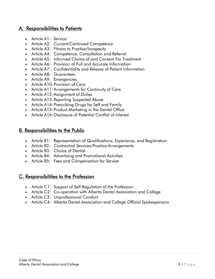## A. [Responsibilities to Patients](http://www.abda.ab.ca/resources/resources_ada_code_of_ethics_a.asp#TOP)

- [Article A1:](http://www.abda.ab.ca/resources/resources_ada_code_of_ethics_a.asp#A1) Service
- Article A2: [Current/Continued Competence](http://www.abda.ab.ca/resources/resources_ada_code_of_ethics_a.asp#A2)
- Article A3: [Fitness to Practice/Incapacity](http://www.abda.ab.ca/resources/resources_ada_code_of_ethics_a.asp#A3)
- Article A4: [Competence, Consultation and Referral](http://www.abda.ab.ca/resources/resources_ada_code_of_ethics_a.asp#A4)
- [Article A5: Informed Choice of and Consent For Treatment](http://www.abda.ab.ca/resources/resources_ada_code_of_ethics_a.asp#A5)
- Article A6: [Provision of Full and Accurate Information](http://www.abda.ab.ca/resources/resources_ada_code_of_ethics_a.asp#A6)
- Article A7: [Confidentiality and Release of Patient Information](http://www.abda.ab.ca/resources/resources_ada_code_of_ethics_a.asp#A7)
- Article A8: [Guarantees](http://www.abda.ab.ca/resources/resources_ada_code_of_ethics_a.asp#A8)
- Article A9: [Emergencies](http://www.abda.ab.ca/resources/resources_ada_code_of_ethics_a.asp#A9)
- Article A10: [Provision of Care](http://www.abda.ab.ca/resources/resources_ada_code_of_ethics_a.asp#A10)
- [Article A11:Arrangements for Continuity of Care](http://www.abda.ab.ca/resources/resources_ada_code_of_ethics_a.asp#A11)
- [Article A12:Assignment of Duties](http://www.abda.ab.ca/resources/resources_ada_code_of_ethics_a.asp#A12)
- Article A13: [Reporting Suspected Abuse](http://www.abda.ab.ca/resources/resources_ada_code_of_ethics_a.asp#A13)
- Article A14: [Prescribing Drugs for Self and Family](http://www.abda.ab.ca/resources/resources_ada_code_of_ethics_a.asp#A14)
- Article A15: [Product Marketing in the Dental Office](http://www.abda.ab.ca/resources/resources_ada_code_of_ethics_a.asp#A15)
- Article A16: [Disclosure of Potential Conflict of Interest](http://www.abda.ab.ca/resources/resources_ada_code_of_ethics_a.asp#A16)

## B. [Responsibilities to the Public](http://www.abda.ab.ca/resources/resources_ada_code_of_ethics_b.asp#TOP)

- Article B1: Representation of [Qualifications, Experience, and Registration](http://www.abda.ab.ca/resources/resources_ada_code_of_ethics_b.asp#B1)
- Article B2: Contractual Services/Practice Arrangements
- Article B3: [Choice of Dentist](http://www.abda.ab.ca/resources/resources_ada_code_of_ethics_b.asp#B3)
- Article B4: [Advertising and Promotional Activities](http://www.abda.ab.ca/resources/resources_ada_code_of_ethics_b.asp#B4)
- Article B5: [Fees and Compensation for Service](http://www.abda.ab.ca/resources/resources_ada_code_of_ethics_b.asp#B5)

## C. [Responsibilities to the Profession](http://www.abda.ab.ca/resources/resources_ada_code_of_ethics_c.asp#TOP)

- Article C1: [Support of Self-Regulation of the Profession](http://www.abda.ab.ca/resources/resources_ada_code_of_ethics_c.asp#C1)
- Article C2: [Co-operation with Alberta Dental Association and College](http://www.abda.ab.ca/resources/resources_ada_code_of_ethics_c.asp#C2)
- Article C3: [Unprofessional Conduct](http://www.abda.ab.ca/resources/resources_ada_code_of_ethics_c.asp#C3)
- Article C4: Alberta Dental Association and [College Official Spokespersons](http://www.abda.ab.ca/resources/resources_ada_code_of_ethics_c.asp#C4)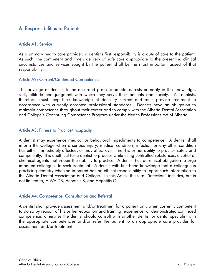## <span id="page-5-0"></span>A. Responsibilities to Patients

#### <span id="page-5-1"></span>Article A1: Service

As a primary health care provider, a dentist's first responsibility is a duty of care to the patient. As such, the competent and timely delivery of safe care appropriate to the presenting clinical circumstances and services sought by the patient shall be the most important aspect of that responsibility.

#### <span id="page-5-2"></span>Article A2: Current/Continued Competence

The privilege of dentists to be accorded professional status rests primarily in the knowledge, skill, attitude and judgment with which they serve their patients and society. All dentists, therefore, must keep their knowledge of dentistry current and must provide treatment in accordance with currently accepted professional standards. Dentists have an obligation to maintain competence throughout their career and to comply with the Alberta Dental Association and College's Continuing Competence Program under the Health Professions Act of Alberta.

#### <span id="page-5-3"></span>Article A3: Fitness to Practice/Incapacity

A dentist may experience medical or behavioral impediments to competence. A dentist shall inform the College when a serious injury, medical condition, infection or any other condition has either immediately affected, or may affect over time, his or her ability to practice safely and competently. It is unethical for a dentist to practice while using controlled substances, alcohol or chemical agents that impair their ability to practice. A dentist has an ethical obligation to urge impaired colleagues to seek treatment. A dentist with first-hand knowledge that a colleague is practicing dentistry when so impaired has an ethical responsibility to report such information to the Alberta Dental Association and College. In this Article the term "infection" includes, but is not limited to, HIV/AIDS, Hepatitis B, and Hepatitis C.

#### <span id="page-5-4"></span>Article A4: Competence, Consultation and Referral

A dentist shall provide assessment and/or treatment for a patient only when currently competent to do so by reason of his or her education and training, experience, or demonstrated continued competence; otherwise the dentist should consult with another dentist or dental specialist with the appropriate competencies and/or refer the patient to an appropriate care provider for assessment and/or treatment.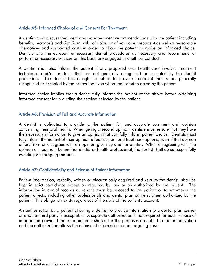#### <span id="page-6-0"></span>Article A5: Informed Choice of and Consent For Treatment

A dentist must discuss treatment and non-treatment recommendations with the patient including benefits, prognosis and significant risks of doing or of not doing treatment as well as reasonable alternatives and associated costs in order to allow the patient to make an informed choice. Dentists who misrepresent unnecessary dental procedures as necessary and recommend or perform unnecessary services on this basis are engaged in unethical conduct.

A dentist shall also inform the patient if any proposed oral health care involves treatment techniques and/or products that are not generally recognized or accepted by the dental profession. The dentist has a right to refuse to provide treatment that is not generally recognized or accepted by the profession even when requested to do so by the patient.

Informed choice implies that a dentist fully informs the patient of the above before obtaining informed consent for providing the services selected by the patient.

#### <span id="page-6-1"></span>Article A6: Provision of Full and Accurate Information

A dentist is obligated to provide to the patient full and accurate comment and opinion concerning their oral health. When giving a second opinion, dentists must ensure that they have the necessary information to give an opinion that can fully inform patient choice. Dentists must fully inform the patient of their opinion of assessment and treatment options, even if that opinion differs from or disagrees with an opinion given by another dentist. When disagreeing with the opinion or treatment by another dentist or health professional, the dentist shall do so respectfully avoiding disparaging remarks.

#### <span id="page-6-2"></span>Article A7: Confidentiality and Release of Patient Information

Patient information, verbally, written or electronically acquired and kept by the dentist, shall be kept in strict confidence except as required by law or as authorized by the patient. The information in dental records or reports must be released to the patient or to whomever the patient directs, including other professionals and dental plan carriers, when authorized by the patient. This obligation exists regardless of the state of the patient's account.

An authorization by a patient allowing a dentist to provide information to a dental plan carrier or another third party is acceptable. A separate authorization is not required for each release of information provided the information is shared for the purposes described in the authorization and the authorization allows the release of information on an ongoing basis.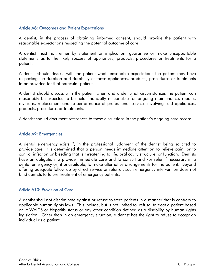#### <span id="page-7-0"></span>Article A8: Outcomes and Patient Expectations

A dentist, in the process of obtaining informed consent, should provide the patient with reasonable expectations respecting the potential outcome of care.

A dentist must not, either by statement or implication, guarantee or make unsupportable statements as to the likely success of appliances, products, procedures or treatments for a patient.

A dentist should discuss with the patient what reasonable expectations the patient may have respecting the duration and durability of those appliances, products, procedures or treatments to be provided for that particular patient.

A dentist should discuss with the patient when and under what circumstances the patient can reasonably be expected to be held financially responsible for ongoing maintenance, repairs, revisions, replacement and re-performance of professional services involving said appliances, products, procedures or treatments.

A dentist should document references to these discussions in the patient's ongoing care record.

#### <span id="page-7-1"></span>Article A9: Emergencies

A dental emergency exists if, in the professional judgment of the dentist being solicited to provide care, it is determined that a person needs immediate attention to relieve pain, or to control infection or bleeding that is threatening to life, oral cavity structure, or function. Dentists have an obligation to provide immediate care and to consult and /or refer if necessary in a dental emergency or, if unavailable, to make alternative arrangements for the patient. Beyond offering adequate follow-up by direct service or referral, such emergency intervention does not bind dentists to future treatment of emergency patients.

#### <span id="page-7-2"></span>Article A10: Provision of Care

A dentist shall not discriminate against or refuse to treat patients in a manner that is contrary to applicable human rights laws. This include, but is not limited to, refusal to treat a patient based on HIV/AIDS or Hepatitis status or any other condition defined as a disability by human rights legislation. Other than in an emergency situation, a dentist has the right to refuse to accept an individual as a patient.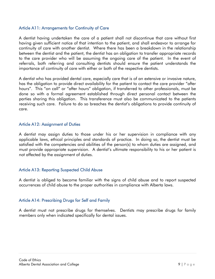#### <span id="page-8-0"></span>Article A11: Arrangements for Continuity of Care

A dentist having undertaken the care of a patient shall not discontinue that care without first having given sufficient notice of that intention to the patient, and shall endeavor to arrange for continuity of care with another dentist. Where there has been a breakdown in the relationship between the dentist and the patient, the dentist has an obligation to transfer appropriate records to the care provider who will be assuming the ongoing care of the patient. In the event of referrals, both referring and consulting dentists should ensure the patient understands the importance of continuity of care with either or both of the respective dentists.

A dentist who has provided dental care, especially care that is of an extensive or invasive nature, has the obligation to provide direct availability for the patient to contact the care provider "after hours". This "on call" or "after hours" obligation, if transferred to other professionals, must be done so with a formal agreement established through direct personal contact between the parties sharing this obligation. This transference must also be communicated to the patients receiving such care. Failure to do so breaches the dentist's obligations to provide continuity of care.

#### <span id="page-8-1"></span>Article A12: Assignment of Duties

A dentist may assign duties to those under his or her supervision in compliance with any applicable laws, ethical principles and standards of practice. In doing so, the dentist must be satisfied with the competencies and abilities of the person(s) to whom duties are assigned, and must provide appropriate supervision. A dentist's ultimate responsibility to his or her patient is not affected by the assignment of duties.

#### <span id="page-8-2"></span>Article A13: Reporting Suspected Child Abuse

A dentist is obliged to become familiar with the signs of child abuse and to report suspected occurrences of child abuse to the proper authorities in compliance with Alberta laws.

#### <span id="page-8-3"></span>Article A14: Prescribing Drugs for Self and Family

A dentist must not prescribe drugs for themselves. Dentists may prescribe drugs for family members only when indicated specifically for dental issues.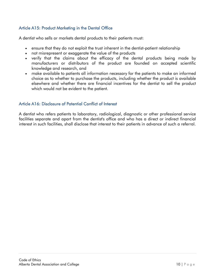### <span id="page-9-0"></span>Article A15: Product Marketing in the Dental Office

A dentist who sells or markets dental products to their patients must:

- ensure that they do not exploit the trust inherent in the dentist-patient relationship
- not misrepresent or exaggerate the value of the products
- verify that the claims about the efficacy of the dental products being made by manufacturers or distributors of the product are founded on accepted scientific knowledge and research, and
- make available to patients all information necessary for the patients to make an informed choice as to whether to purchase the products, including whether the product is available elsewhere and whether there are financial incentives for the dentist to sell the product which would not be evident to the patient.

#### <span id="page-9-1"></span>Article A16: Disclosure of Potential Conflict of Interest

A dentist who refers patients to laboratory, radiological, diagnostic or other professional service facilities separate and apart from the dentist's office and who has a direct or indirect financial interest in such facilities, shall disclose that interest to their patients in advance of such a referral.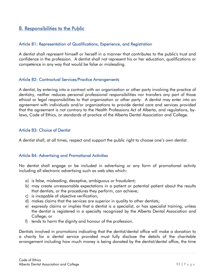## <span id="page-10-0"></span>B. Responsibilities to the Public

#### <span id="page-10-1"></span>Article B1: Representation of Qualifications, Experience, and Registration

A dentist shall represent himself or herself in a manner that contributes to the public's trust and confidence in the profession. A dentist shall not represent his or her education, qualifications or competence in any way that would be false or misleading.

#### <span id="page-10-2"></span>Article B2: Contractual Services/Practice Arrangements

A dentist, by entering into a contract with an organization or other party involving the practice of dentistry, neither reduces personal professional responsibilities nor transfers any part of those ethical or legal responsibilities to that organization or other party. A dentist may enter into an agreement with individuals and/or organizations to provide dental care and services provided that the agreement is not contrary to the Health Professions Act of Alberta, and regulations, bylaws, Code of Ethics, or standards of practice of the Alberta Dental Association and College.

#### <span id="page-10-3"></span>Article B3: Choice of Dentist

A dentist shall, at all times, respect and support the public right to choose one's own dentist.

#### <span id="page-10-4"></span>Article B4: Advertising and Promotional Activities

No dentist shall engage or be included in advertising or any form of promotional activity including all electronic advertising such as web sites which:

- a) is false, misleading, deceptive, ambiguous or fraudulent;
- b) may create unreasonable expectations in a patient or potential patient about the results that dentists, or the procedures they perform, can achieve;
- c) is incapable of objective verification;
- d) makes claims that the services are superior in quality to other dentists;
- e) expressly claims or implies that a dentist is a specialist, or has specialist training, unless the dentist is registered in a specialty recognized by the Alberta Dental Association and College; or
- f) tends to harm the dignity and honour of the profession.

Dentists involved in promotions indicating that the dentist/dental office will make a donation to a charity for a dental service provided must fully disclose the details of the charitable arrangement including how much money is being donated by the dentist/dental office, the time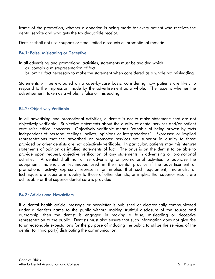frame of the promotion, whether a donation is being made for every patient who receives the dental service and who gets the tax deductible receipt.

Dentists shall not use coupons or time limited discounts as promotional material.

#### <span id="page-11-0"></span>B4.1: False, Misleading or Deceptive

In all advertising and promotional activities, statements must be avoided which:

- a) contain a misrepresentation of fact;
- b) omit a fact necessary to make the statement when considered as a whole not misleading.

Statements will be evaluated on a case-by-case basis, considering how patients are likely to respond to the impression made by the advertisement as a whole. The issue is whether the advertisement, taken as a whole, is false or misleading.

#### <span id="page-11-1"></span>B4.2: Objectively Verifiable

In all advertising and promotional activities, a dentist is not to make statements that are not objectively verifiable. Subjective statements about the quality of dental services and/or patient care raise ethical concerns. Objectively verifiable means "capable of being proven by facts independent of personal feelings, beliefs, opinions or interpretations". Expressed or implied representations that the advertised or promoted services are superior in quality to those provided by other dentists are not objectively verifiable. In particular, patients may misinterpret statements of opinion as implied statements of fact. The onus is on the dentist to be able to provide upon request, objective verification of any statements in advertising or promotional activities. A dentist shall not utilize advertising or promotional activities to publicize the equipment, material, or techniques used in their dental practice if the advertisement or promotional activity expressly represents or implies that such equipment, materials, or techniques are superior in quality to those of other dentists, or implies that superior results are achievable or that superior dental care is provided.

#### <span id="page-11-2"></span>B4.3: Articles and Newsletters

If a dental health article, message or newsletter is published or electronically communicated under a dentist's name to the public without making truthful disclosure of the source and authorship, then the dentist is engaged in making a false, misleading or deceptive representation to the public. Dentists must also ensure that such information does not give rise to unreasonable expectations for the purpose of inducing the public to utilize the services of the dentist (or third party) distributing the communication.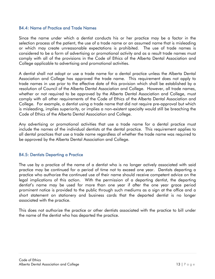#### <span id="page-12-0"></span>B4.4: Name of Practice and Trade Names

Since the name under which a dentist conducts his or her practice may be a factor in the selection process of the patient, the use of a trade name or an assumed name that is misleading or which may create unreasonable expectations is prohibited. The use of trade names is considered to be a form of advertising or promotional activity and as a result trade names must comply with all of the provisions in the Code of Ethics of the Alberta Dental Association and College applicable to advertising and promotional activities.

A dentist shall not adopt or use a trade name for a dental practice unless the Alberta Dental Association and College has approved the trade name. This requirement does not apply to trade names in use prior to the effective date of this provision which shall be established by a resolution of Council of the Alberta Dental Association and College. However, all trade names, whether or not required to be approved by the Alberta Dental Association and College, must comply with all other requirements of the Code of Ethics of the Alberta Dental Association and College. For example, a dentist using a trade name that did not require pre-approval but which is misleading, implies superiority, or implies a non-existent specialty would still be breaching the Code of Ethics of the Alberta Dental Association and College.

Any advertising or promotional activities that use a trade name for a dental practice must include the names of the individual dentists at the dental practice. This requirement applies to all dental practices that use a trade name regardless of whether the trade name was required to be approved by the Alberta Dental Association and College.

#### <span id="page-12-1"></span>B4.5: Dentists Departing a Practice

The use by a practice of the name of a dentist who is no longer actively associated with said practice may be continued for a period of time not to exceed one year. Dentists departing a practice who authorize the continued use of their name should receive competent advice on the legal implications of this action. With the permission of a departing dentist, the departing dentist's name may be used for more than one year if after the one year grace period prominent notice is provided to the public through such mediums as a sign at the office and a short statement on stationery and business cards that the departed dentist is no longer associated with the practice.

This does not authorize the practice or other dentists associated with the practice to bill under the name of the dentist who has departed the practice.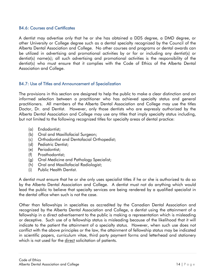#### <span id="page-13-0"></span>B4.6: Courses and Certificates

A dentist may advertise only that he or she has obtained a DDS degree, a DMD degree, or other University or College degree such as a dental specialty recognized by the Council of the Alberta Dental Association and College. No other courses and programs or dental awards can be utilized in advertising and promotional activities by or for or including any dentist(s) or dentist(s) name(s); all such advertising and promotional activities is the responsibility of the dentist(s) who must ensure that it complies with the Code of Ethics of the Alberta Dental Association and College.

#### <span id="page-13-1"></span>B4.7: Use of Titles and Announcement of Specialization

The provisions in this section are designed to help the public to make a clear distinction and an informed selection between a practitioner who has achieved specialty status and general practitioners. All members of the Alberta Dental Association and College may use the titles Doctor, Dr. and Dentist. However, only those dentists who are expressly authorized by the Alberta Dental Association and College may use any titles that imply specialty status including, but not limited to the following recognized titles for specialty areas of dental practice:

- (a) Endodontist;
- (b) Oral and Maxillofacial Surgeon;
- (c) Orthodontist and Dentofacial Orthopedist;
- (d) Pediatric Dentist;
- (e) Periodontist;
- (f) Prosthodontist;
- (g) Oral Medicine and Pathology Specialist;
- (h) Oral and Maxillofacial Radiologist;
- (i) Public Health Dentist.

A dentist must ensure that he or she only uses specialist titles if he or she is authorized to do so by the Alberta Dental Association and College. A dentist must not do anything which would lead the public to believe that specialty services are being rendered by a qualified specialist in the dental office when such is not the case.

Other than fellowships in specialties as accredited by the Canadian Dental Association and recognized by the Alberta Dental Association and College, a dentist using the attainment of a fellowship in a direct advertisement to the public is making a representation which is misleading or deceptive. Such use of a fellowship status is misleading because of the likelihood that it will indicate to the patient the attainment of a specialty status. However, when such use does not conflict with the above principles or the law, the attainment of fellowship status may be indicated in scientific papers, curriculum vitae, third party payment forms and letterhead and stationery which is not used for the direct solicitation of patients.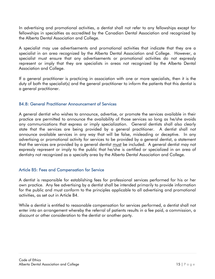In advertising and promotional activities, a dentist shall not refer to any fellowships except for fellowships in specialties as accredited by the Canadian Dental Association and recognized by the Alberta Dental Association and College.

A specialist may use advertisements and promotional activities that indicate that they are a specialist in an area recognized by the Alberta Dental Association and College. However, a specialist must ensure that any advertisements or promotional activities do not expressly represent or imply that they are specialists in areas not recognized by the Alberta Dental Association and College.

If a general practitioner is practicing in association with one or more specialists, then it is the duty of both the specialist(s) and the general practitioner to inform the patients that this dentist is a general practitioner.

#### <span id="page-14-0"></span>B4.8: General Practitioner Announcement of Services

A general dentist who wishes to announce, advertise, or promote the services available in their practice are permitted to announce the availability of those services so long as he/she avoids any communications that express or imply specialization. General dentists shall also clearly state that the services are being provided by a general practitioner. A dentist shall not announce available services in any way that will be false, misleading or deceptive. In any advertising or promotional activity for services to be provided by a general dentist, a statement that the services are provided by a general dentist must be included. A general dentist may not expressly represent or imply to the public that he/she is certified or specialized in an area of dentistry not recognized as a specialty area by the Alberta Dental Association and College.

#### <span id="page-14-1"></span>Article B5: Fees and Compensation for Service

A dentist is responsible for establishing fees for professional services performed for his or her own practice. Any fee advertising by a dentist shall be intended primarily to provide information for the public and must conform to the principles applicable to all advertising and promotional activities, as set out in Article B4.

While a dentist is entitled to reasonable compensation for services performed, a dentist shall not enter into an arrangement whereby the referral of patients results in a fee paid, a commission, a discount or other consideration to the dentist or another party.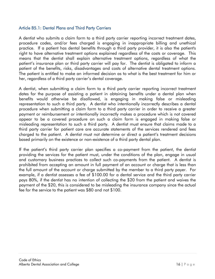#### <span id="page-15-0"></span>Article B5.1: Dental Plans and Third Party Carriers

A dentist who submits a claim form to a third party carrier reporting incorrect treatment dates, procedure codes, and/or fees charged is engaging in inappropriate billing and unethical practice. If a patient has dental benefits through a third party provider, it is also the patient's right to have alternative treatment options explained regardless of the costs or coverage. This means that the dentist shall explain alternative treatment options, regardless of what the patient's insurance plan or third party carrier will pay for. The dentist is obligated to inform a patient of the benefits, risks, disadvantages and costs of alternative dental treatment options. The patient is entitled to make an informed decision as to what is the best treatment for him or her, regardless of a third party carrier's dental coverage.

A dentist, when submitting a claim form to a third party carrier reporting incorrect treatment dates for the purpose of assisting a patient in obtaining benefits under a dental plan when benefits would otherwise be disallowed, is engaging in making false or misleading representation to such a third party. A dentist who intentionally incorrectly describes a dental procedure when submitting a claim form to a third party carrier in order to receive a greater payment or reimbursement or intentionally incorrectly makes a procedure which is not covered appear to be a covered procedure on such a claim form is engaged in making false or misleading representation to such a third party. A dentist must ensure that claims made to a third party carrier for patient care are accurate statements of the services rendered and fees charged to the patient. A dentist must not determine or direct a patient's treatment decisions based primarily on the existence or non-existence of a third party dental plan.

If the patient's third party carrier plan specifies a co-payment from the patient, the dentist providing the services for the patient must, under the conditions of the plan, engage in usual and customary business practices to collect such co-payments from the patient. A dentist is prohibited from accepting an amount in full payment of an account or charge that is less than the full amount of the account or charge submitted by the member to a third party payer. For example, if a dentist assesses a fee of \$100.00 for a dental service and the third party carrier pays 80%, if the dentist has no intention of collecting the \$20 from the patient and waives the payment of the \$20, this is considered to be misleading the insurance company since the actual fee for the service to the patient was \$80 and not \$100.